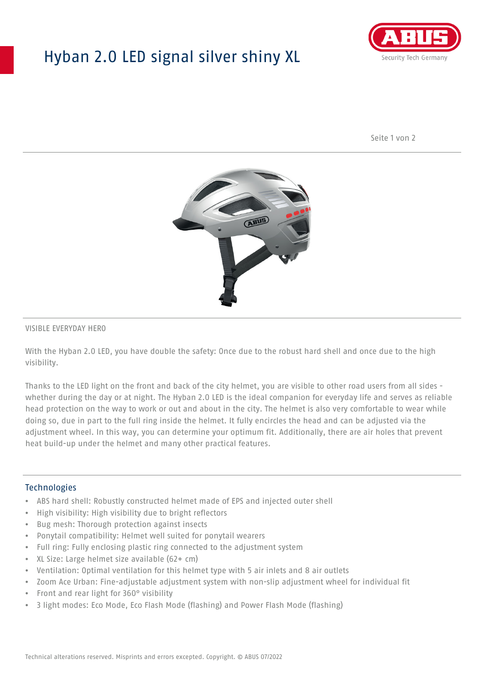## Hyban 2.0 LED signal silver shiny XL



Seite 1 von 2



#### VISIBLE EVERYDAY HERO

With the Hyban 2.0 LED, you have double the safety: Once due to the robust hard shell and once due to the high visibility.

Thanks to the LED light on the front and back of the city helmet, you are visible to other road users from all sides whether during the day or at night. The Hyban 2.0 LED is the ideal companion for everyday life and serves as reliable head protection on the way to work or out and about in the city. The helmet is also very comfortable to wear while doing so, due in part to the full ring inside the helmet. It fully encircles the head and can be adjusted via the adjustment wheel. In this way, you can determine your optimum fit. Additionally, there are air holes that prevent heat build-up under the helmet and many other practical features.

#### Technologies

- ABS hard shell: Robustly constructed helmet made of EPS and injected outer shell
- High visibility: High visibility due to bright reflectors
- Bug mesh: Thorough protection against insects
- Ponytail compatibility: Helmet well suited for ponytail wearers
- Full ring: Fully enclosing plastic ring connected to the adjustment system
- XL Size: Large helmet size available (62+ cm)
- Ventilation: Optimal ventilation for this helmet type with 5 air inlets and 8 air outlets
- Zoom Ace Urban: Fine-adjustable adjustment system with non-slip adjustment wheel for individual fit
- Front and rear light for 360° visibility
- 3 light modes: Eco Mode, Eco Flash Mode (flashing) and Power Flash Mode (flashing)